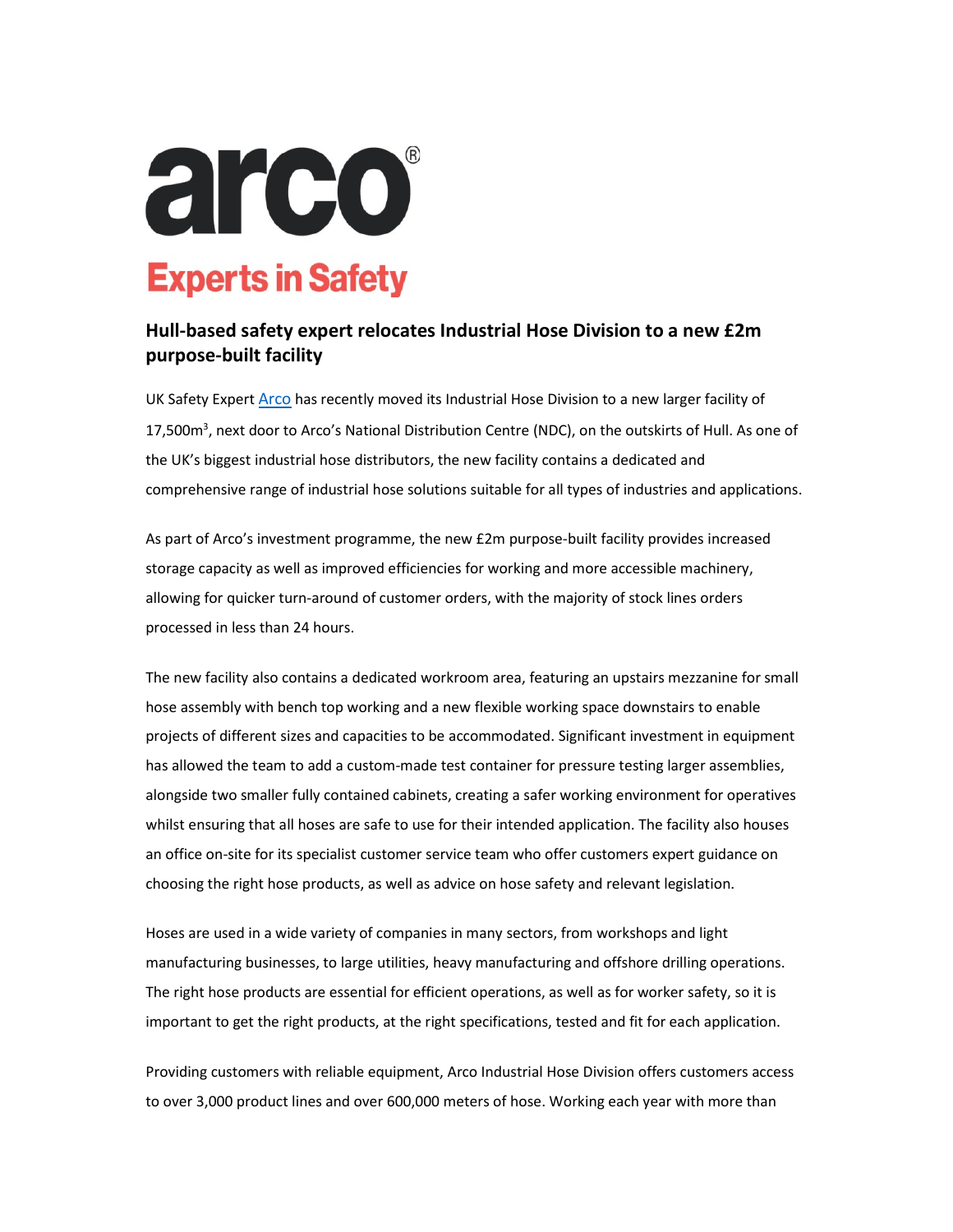

## Hull-based safety expert relocates Industrial Hose Division to a new £2m purpose-built facility

UK Safety Expert Arco has recently moved its Industrial Hose Division to a new larger facility of 17,500m<sup>3</sup>, next door to Arco's National Distribution Centre (NDC), on the outskirts of Hull. As one of the UK's biggest industrial hose distributors, the new facility contains a dedicated and comprehensive range of industrial hose solutions suitable for all types of industries and applications.

As part of Arco's investment programme, the new £2m purpose-built facility provides increased storage capacity as well as improved efficiencies for working and more accessible machinery, allowing for quicker turn-around of customer orders, with the majority of stock lines orders processed in less than 24 hours.

The new facility also contains a dedicated workroom area, featuring an upstairs mezzanine for small hose assembly with bench top working and a new flexible working space downstairs to enable projects of different sizes and capacities to be accommodated. Significant investment in equipment has allowed the team to add a custom-made test container for pressure testing larger assemblies, alongside two smaller fully contained cabinets, creating a safer working environment for operatives whilst ensuring that all hoses are safe to use for their intended application. The facility also houses an office on-site for its specialist customer service team who offer customers expert guidance on choosing the right hose products, as well as advice on hose safety and relevant legislation.

Hoses are used in a wide variety of companies in many sectors, from workshops and light manufacturing businesses, to large utilities, heavy manufacturing and offshore drilling operations. The right hose products are essential for efficient operations, as well as for worker safety, so it is important to get the right products, at the right specifications, tested and fit for each application.

Providing customers with reliable equipment, Arco Industrial Hose Division offers customers access to over 3,000 product lines and over 600,000 meters of hose. Working each year with more than